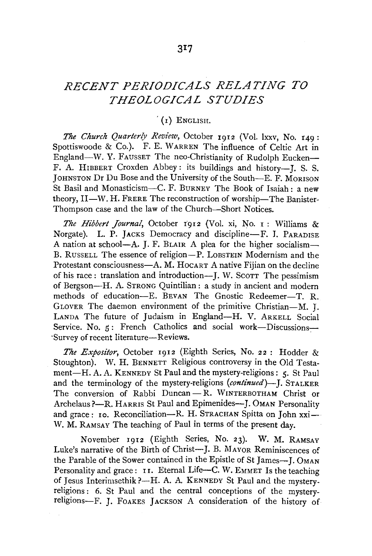# *RECENT PERIODICALS RELATING TO THEOLOGICAL STUDIES*

### $(1)$  ENGLISH.

*The Church Quarterly Review,* October 1912 (Vol. lxxv, No. 149: Spottiswoode & Co.). F. E. WARREN The influence of Celtic Art in England-W. Y. FAUSSET The neo-Christianity of Rudolph Eucken-F. A. HIBBERT Croxden Abbey: its buildings and history-I. S. S. JOHNSTON Dr Du Bose and the University of the South-E. F. MORISON St Basil and Monasticism-C. F. BURNEY The Book of Isaiah : a new theory, II-W. H. FRERE The reconstruction of worship-The Banister-Thompson case and the law of the Church-Short Notices.

*The Hibbert Journal*, October 1912 (Vol. xi, No. 1: Williams & Norgate). L. P. JACKS Democracy and discipline-F. J. PARADISE A nation at school-A. J. F. BLAIR A plea for the higher socialism-B. RUSSELL The essence of religion-P. LOBSTEIN Modernism and the Protestant consciousness—A. M. HOCART A native Fijian on the decline of his race: translation and introduction--J. W. Scorr The pessimism of Bergson-H. A. STRONG Quintilian : a study in ancient and modern methods of education-E. BEVAN The Gnostic Redeemer-T. R. GLOVER The daemon environment of the primitive Christian-M. J. LANDA The future of Judaism in England-H. V. ARKELL Social Service. No.  $\mathbf{s}:$  French Catholics and social work-Discussions---'Survey of recent literature-Reviews.

*The Expositor,* October 1912 (Eighth Series, No. 22 : Hodder & Stoughton). W. H. BENNETT Religious controversy in the Old Testament-H. A. A. KENNEDY St Paul and the mystery-religions: 5. St Paul and the terminology of the mystery-religions (*continued*)—I. STALKER The conversion of Rabbi Duncan - R. WINTERBOTHAM Christ or Archelaus?---R. HARRIS St Paul and Epimenides---J. OMAN Personality and grace: 10. Reconciliation-R. H. STRACHAN Spitta on John  $xxi$ -W. M. RAMSAY The teaching of Paul in terms of the present day.

November 1912 (Eighth Series, No. 23). W. M. RAMSAY Luke's narrative of the Birth of Christ-J. B. MAYOR Reminiscences of the Parable of the Sower contained in the Epistle of St James-J. OMAN Personality and grace:  $I$  I. Eternal Life-C. W. EMMET Is the teaching of Jesus Interimsethik ?-H. A. A. KENNEDY St Paul and the mysteryreligions : 6. St Paul and the central conceptions of the mysteryreligions-F. J. FoAKES JACKSON A consideration of the history of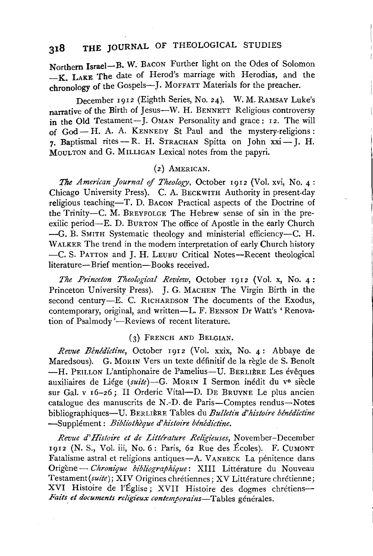# **318 THE JOURNAL** OF THEOLOGICAL STUDIES

Northern Israel-B. W. BACON Further light on the Odes of Solomon -K. LAKE The date of Herod's marriage with Herodias, and the chronology of the Gospels-J. MOFFATT Materials for the preacher.

December 1912 (Eighth Series, No. 24). W. M. RAMSAY Luke's narrative of the Birth of Jesus-W. H. BENNETT Religious controversy in the Old Testament-J. OMAN Personality and grace: 12. The will of  $God - H$ . A. A. KENNEDY St Paul and the mystery-religions: 7. Baptismal rites - R. H. STRACHAN Spitta on John  $xxi - J$ . H. MouLTON and G. MILLIGAN Lexical notes from the papyri.

#### (2) AMERICAN.

*The American Journal* of *Theology,* October 1912 (Vol. xvi, No. 4: Chicago University Press). C. A. BECKWITH Authority in present-day religious teaching-T. D. BACON Practical aspects of the Doctrine of the Trinity-C. M. BREYFOLGE The Hebrew sense of sin in ·the preexilic period-E. D. BURTON The office of Apostle in the early Church -G. B. SMITH Systematic theology and ministerial efficiency-C. H. WALKER The trend in the modern interpretation of early Church history -C. S. PATTON and J. H. LEUBU Critical Notes-Recent theological literature-Brief mention-Books received.

*The Pn'nceton Theological Review,* October 1912 (Vol. x, No. 4: Princeton University Press). J. G. MACHEN The Virgin Birth in the second century-E. C. RICHARDSON The documents of the Exodus, contemporary, original, and written-L. F. BENSON Dr Watt's 'Renovation of Psalmody '---Reviews of recent literature.

#### (3) FRENCH AND BELGIAN.

*Revue Benedictine,* October 1912 (Vol. xxix, No. 4: Abbaye de Maredsous). G. MORIN Vers un texte définitif de la règle de S. Benoît -H. PEILLON L'antiphonaire de Pamelius-U. BERLIÈRE Les évêques auxiliaires de Liége (suite)-G. MORIN I Sermon inédit du v<sup>e</sup> siècle sur Gal. v 16-26; II Orderic Vital-D. DE BRUYNE Le plus ancien catalogue des manuscrits de N.-D. de Paris-Comptes rendus-Notes bibliographiques-U. BERLIÈRE Tables du *Bulletin d'histoire bénédictine* -Supplément: *Bibliothèque d'histoire bénédictine*.

*Revue d'Histoire et de Lt'ttfrafure Relt'gieuses,* November-December  $1912$  (N. S., Vol. iii, No. 6: Paris, 62 Rue des Écoles). F. CUMONT Fatalisme astral et religions antiques-A. VANBECK La pénitence dans Origène - *Chronique bibliographique*: XIII Littérature du Nouveau Testament(suite); XIV Origines chrétiennes; XV Littérature chrétienne; XVI Histoire de l'Église; XVII Histoire des dogmes chrétiens-Faits et documents religieux contemporains-Tables générales.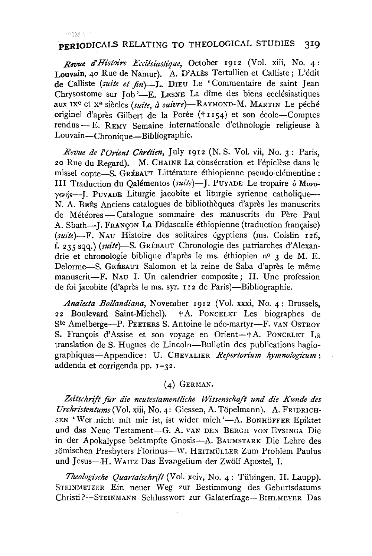#### 12838.577

## **.PERIODICALS** RELATING TO THEOLOGICAL STUDIES 319

*Revue d'Histoire Ecclesiastique,* October 1912 (Vol. xiii, No. 4: Louvain, 40 Rue de Namur). A. D'ALÈS Tertullien et Calliste; L'édit de Calliste (suite et fin)-L. DIEU Le 'Commentaire de saint Jean Chrysostome sur Job  $-$ E. LESNE La dîme des biens ecclésiastiques aux IX<sup>6</sup> et x<sup>e</sup> siècles *(suite, à suivre*)-RAYMOND-M. MARTIN Le péché originel d'après Gilbert de la Porée (+1154) et son école-Comptes rendus - E. REMY Semaine internationale d'ethnologie religieuse a Louvain-Chronique-Bibliographie.

*Revue de !'Orient Chretien,* July 1912 (N. S. Vol. vii, No. 3: Paris, 20 Rue du Regard). M. CHAINE La consecration et l'epiclese dans le missel copte-S. GREBAUT Littérature éthiopienne pseudo-clémentine : III Traduction du Oalémentos (suite)-J. PUVADE Le tropaire o Movo- $\gamma$ evns-J. PuyADE Liturgie jacobite et liturgie syrienne catholique-N. A. BEÊS Anciens catalogues de bibliothèques d'après les manuscrits de Météores — Catalogue sommaire des manuscrits du Père Paul A. Sbath-J. FRANÇON La Didascalie éthiopienne (traduction française) (suite)-F. NAU Histoire des solitaires égyptiens (ms. Coislin 126, f. 235 sqq.) *(suite)-S.* GREBAUT Chronologie des patriarches d'Alexandrie et chronologie biblique d'apres le ms. ethiopien n° 3 de M. E. Delorme-S. GRÉBAUT Salomon et la reine de Saba d'après le même manuscrit-F. NAU I. Un calendrier composite; II. Une profession de foi jacobite (d'après le ms. syr. 112 de Paris)—Bibliographie.

*Analecta Bollandiana,* November 1912 (Vol. xxxi, No. 4: Brussels, 22 Boulevard Saint-Michel). t A. PoNCELET Les biographes de Ste Amelberge-P. PEETERS S. Antoine le néo-martyr-F. VAN OSTROV S. François d'Assise et son voyage en Orient-+A. PONCELET La translation de S. Hugues de Lincoln-Bulletin des publications hagiographiques-Appendice: U. CHEVALIER *Repertorium hymno!ogicum:*  addenda et corrigenda pp. 1-32.

#### (4) GERMAN.

*Zeitschrift fur die neutestamentliche Wissenscheft und die Kunde des Urchristentums* (Vol. xiii, No. 4: Giessen, A. Topelmann). A. FRIDRICH-SEN 'Wer nicht mit mir ist, ist wider mich '-A. BONHÖFFER Epiktet und das Neue Testament-G. A. VAN DEN BERGH VON EvSINGA Die in der Apokalypse bekampfte Gnosis-A. BAUMSTARK Die Lehre des römischen Presbyters Florinus-W. HEITMÜLLER Zum Problem Paulus und Jesus-H. WAITZ Das Evangelium der Zwölf Apostel, I.

Theologische Quartalschrift (Vol. xciv, No. 4: Tübingen, H. Laupp). STEINMETZER Ein neuer Weg zur Bestimmung des Geburtsdatums Christi ?-STEINMANN Schlusswort zur Galaterfrage- BIHLMEYER Das